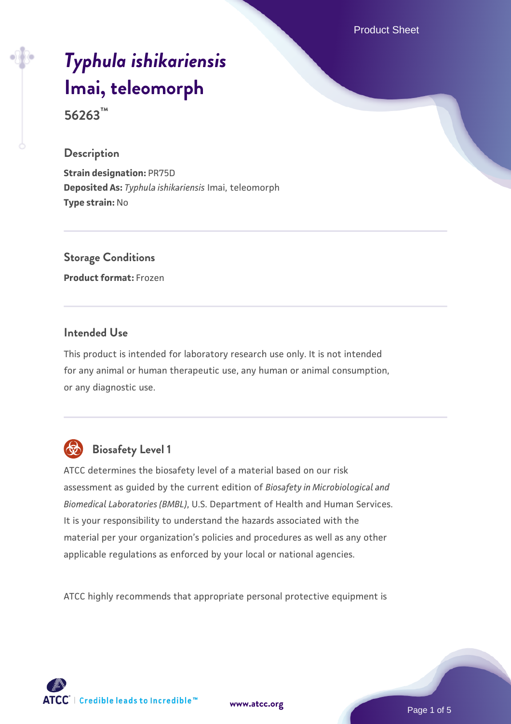Product Sheet

# *[Typhula ishikariensis](https://www.atcc.org/products/56263)* **[Imai, teleomorph](https://www.atcc.org/products/56263)**

**56263™**

#### **Description**

**Strain designation:** PR75D **Deposited As:** *Typhula ishikariensis* Imai, teleomorph **Type strain:** No

# **Storage Conditions**

**Product format:** Frozen

#### **Intended Use**

This product is intended for laboratory research use only. It is not intended for any animal or human therapeutic use, any human or animal consumption, or any diagnostic use.



# **Biosafety Level 1**

ATCC determines the biosafety level of a material based on our risk assessment as guided by the current edition of *Biosafety in Microbiological and Biomedical Laboratories (BMBL)*, U.S. Department of Health and Human Services. It is your responsibility to understand the hazards associated with the material per your organization's policies and procedures as well as any other applicable regulations as enforced by your local or national agencies.

ATCC highly recommends that appropriate personal protective equipment is

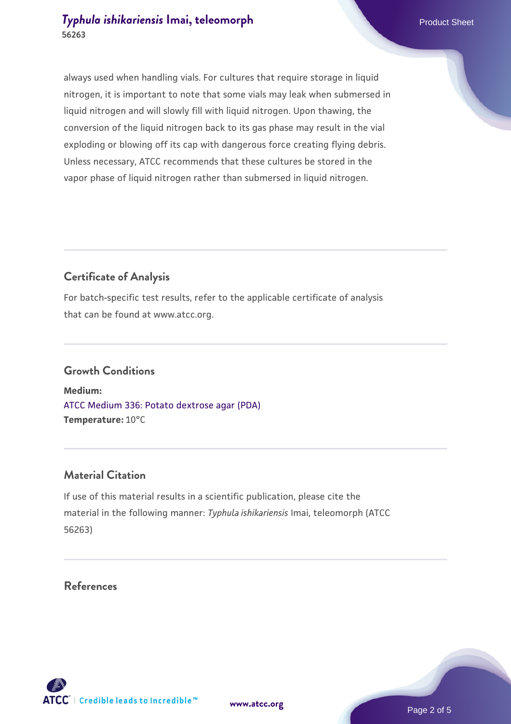# **[Typhula ishikariensis](https://www.atcc.org/products/56263) [Imai, teleomorph](https://www.atcc.org/products/56263)** Product Sheet **56263**

always used when handling vials. For cultures that require storage in liquid nitrogen, it is important to note that some vials may leak when submersed in liquid nitrogen and will slowly fill with liquid nitrogen. Upon thawing, the conversion of the liquid nitrogen back to its gas phase may result in the vial exploding or blowing off its cap with dangerous force creating flying debris. Unless necessary, ATCC recommends that these cultures be stored in the vapor phase of liquid nitrogen rather than submersed in liquid nitrogen.

# **Certificate of Analysis**

For batch-specific test results, refer to the applicable certificate of analysis that can be found at www.atcc.org.

#### **Growth Conditions**

**Medium:**  [ATCC Medium 336: Potato dextrose agar \(PDA\)](https://www.atcc.org/-/media/product-assets/documents/microbial-media-formulations/3/3/6/atcc-medium-336.pdf?rev=d9160ad44d934cd8b65175461abbf3b9) **Temperature:** 10°C

# **Material Citation**

If use of this material results in a scientific publication, please cite the material in the following manner: *Typhula ishikariensis* Imai, teleomorph (ATCC 56263)

#### **References**

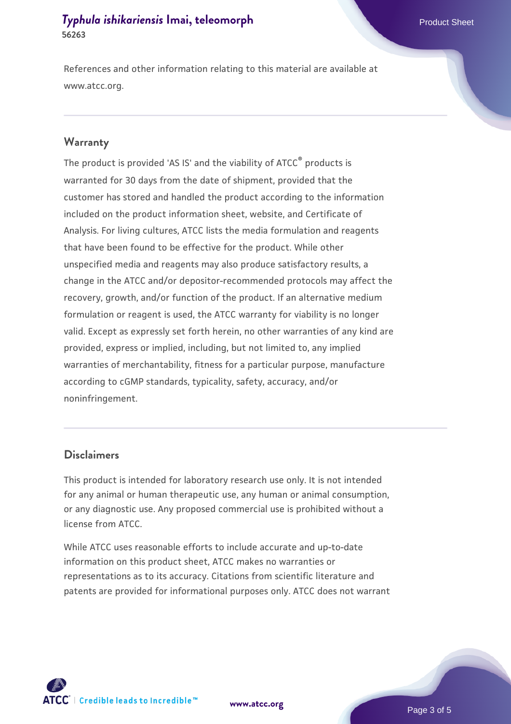# **[Typhula ishikariensis](https://www.atcc.org/products/56263) [Imai, teleomorph](https://www.atcc.org/products/56263)** Product Sheet **56263**

References and other information relating to this material are available at www.atcc.org.

#### **Warranty**

The product is provided 'AS IS' and the viability of ATCC® products is warranted for 30 days from the date of shipment, provided that the customer has stored and handled the product according to the information included on the product information sheet, website, and Certificate of Analysis. For living cultures, ATCC lists the media formulation and reagents that have been found to be effective for the product. While other unspecified media and reagents may also produce satisfactory results, a change in the ATCC and/or depositor-recommended protocols may affect the recovery, growth, and/or function of the product. If an alternative medium formulation or reagent is used, the ATCC warranty for viability is no longer valid. Except as expressly set forth herein, no other warranties of any kind are provided, express or implied, including, but not limited to, any implied warranties of merchantability, fitness for a particular purpose, manufacture according to cGMP standards, typicality, safety, accuracy, and/or noninfringement.

#### **Disclaimers**

This product is intended for laboratory research use only. It is not intended for any animal or human therapeutic use, any human or animal consumption, or any diagnostic use. Any proposed commercial use is prohibited without a license from ATCC.

While ATCC uses reasonable efforts to include accurate and up-to-date information on this product sheet, ATCC makes no warranties or representations as to its accuracy. Citations from scientific literature and patents are provided for informational purposes only. ATCC does not warrant



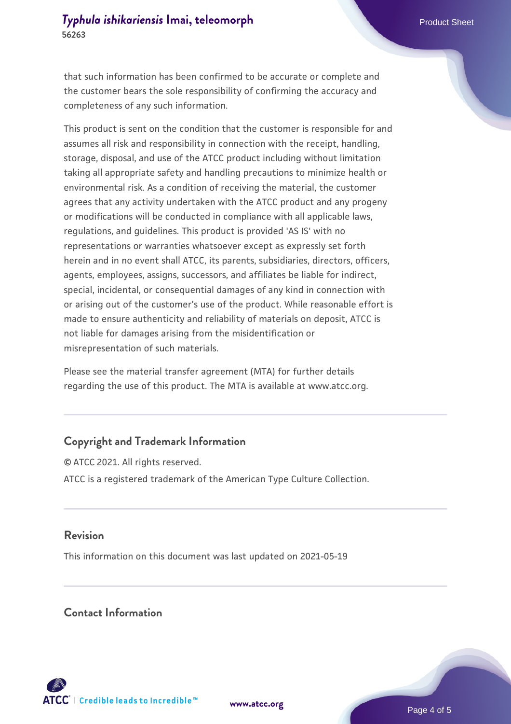that such information has been confirmed to be accurate or complete and the customer bears the sole responsibility of confirming the accuracy and completeness of any such information.

This product is sent on the condition that the customer is responsible for and assumes all risk and responsibility in connection with the receipt, handling, storage, disposal, and use of the ATCC product including without limitation taking all appropriate safety and handling precautions to minimize health or environmental risk. As a condition of receiving the material, the customer agrees that any activity undertaken with the ATCC product and any progeny or modifications will be conducted in compliance with all applicable laws, regulations, and guidelines. This product is provided 'AS IS' with no representations or warranties whatsoever except as expressly set forth herein and in no event shall ATCC, its parents, subsidiaries, directors, officers, agents, employees, assigns, successors, and affiliates be liable for indirect, special, incidental, or consequential damages of any kind in connection with or arising out of the customer's use of the product. While reasonable effort is made to ensure authenticity and reliability of materials on deposit, ATCC is not liable for damages arising from the misidentification or misrepresentation of such materials.

Please see the material transfer agreement (MTA) for further details regarding the use of this product. The MTA is available at www.atcc.org.

# **Copyright and Trademark Information**

© ATCC 2021. All rights reserved. ATCC is a registered trademark of the American Type Culture Collection.

#### **Revision**

This information on this document was last updated on 2021-05-19

# **Contact Information**